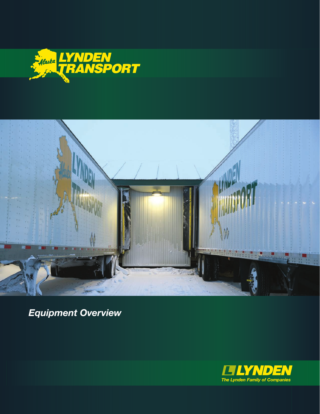



*Equipment Overview*